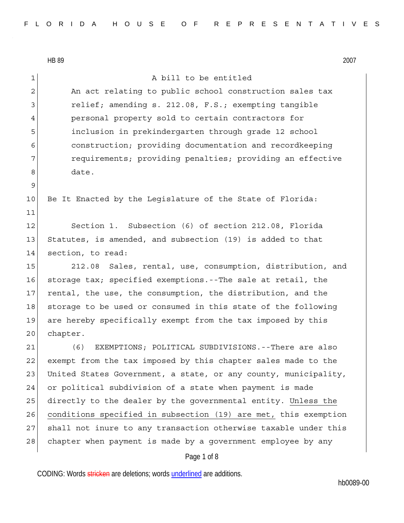HB 89 2007 Page 1 of 8 1 a bill to be entitled 2 An act relating to public school construction sales tax 3 relief; amending s. 212.08, F.S.; exempting tangible 4 personal property sold to certain contractors for 5 inclusion in prekindergarten through grade 12 school 6 construction; providing documentation and recordkeeping 7 **requirements;** providing penalties; providing an effective 8 date. 9 10 Be It Enacted by the Legislature of the State of Florida: 11 12 Section 1. Subsection (6) of section 212.08, Florida 13 Statutes, is amended, and subsection (19) is added to that 14 section, to read: 15 212.08 Sales, rental, use, consumption, distribution, and 16 storage tax; specified exemptions.--The sale at retail, the 17 rental, the use, the consumption, the distribution, and the 18 storage to be used or consumed in this state of the following 19 are hereby specifically exempt from the tax imposed by this 20 chapter. 21 (6) EXEMPTIONS; POLITICAL SUBDIVISIONS.--There are also 22 exempt from the tax imposed by this chapter sales made to the 23 United States Government, a state, or any county, municipality, 24 or political subdivision of a state when payment is made 25 directly to the dealer by the governmental entity. Unless the 26 conditions specified in subsection (19) are met, this exemption 27 shall not inure to any transaction otherwise taxable under this 28 chapter when payment is made by a government employee by any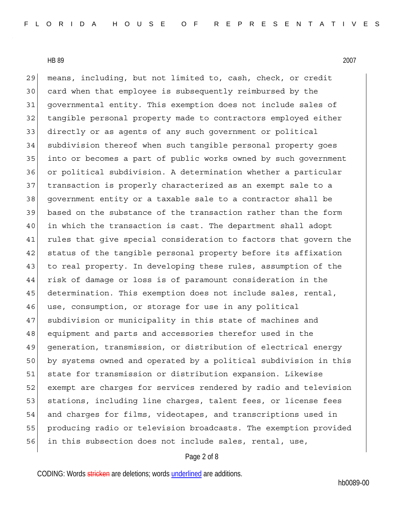29 means, including, but not limited to, cash, check, or credit 30 card when that employee is subsequently reimbursed by the 31 governmental entity. This exemption does not include sales of 32 tangible personal property made to contractors employed either 33 directly or as agents of any such government or political 34 subdivision thereof when such tangible personal property goes 35 into or becomes a part of public works owned by such government 36 or political subdivision. A determination whether a particular 37 transaction is properly characterized as an exempt sale to a 38 government entity or a taxable sale to a contractor shall be 39 based on the substance of the transaction rather than the form 40 in which the transaction is cast. The department shall adopt 41 rules that give special consideration to factors that govern the 42 status of the tangible personal property before its affixation 43 to real property. In developing these rules, assumption of the 44 risk of damage or loss is of paramount consideration in the 45 determination. This exemption does not include sales, rental, 46 use, consumption, or storage for use in any political 47 subdivision or municipality in this state of machines and 48 equipment and parts and accessories therefor used in the 49 generation, transmission, or distribution of electrical energy 50 by systems owned and operated by a political subdivision in this 51 state for transmission or distribution expansion. Likewise 52 exempt are charges for services rendered by radio and television 53 stations, including line charges, talent fees, or license fees 54 and charges for films, videotapes, and transcriptions used in 55 producing radio or television broadcasts. The exemption provided 56 in this subsection does not include sales, rental, use,

## Page 2 of 8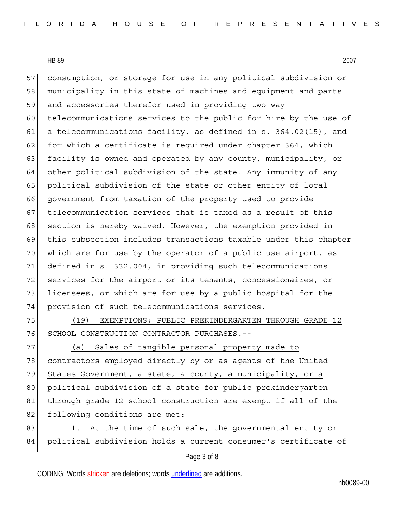57 consumption, or storage for use in any political subdivision or 58 municipality in this state of machines and equipment and parts 59 and accessories therefor used in providing two-way 60 telecommunications services to the public for hire by the use of 61 a telecommunications facility, as defined in s. 364.02(15), and 62 for which a certificate is required under chapter 364, which 63 facility is owned and operated by any county, municipality, or 64 other political subdivision of the state. Any immunity of any 65 political subdivision of the state or other entity of local 66 government from taxation of the property used to provide 67 telecommunication services that is taxed as a result of this 68 section is hereby waived. However, the exemption provided in 69 this subsection includes transactions taxable under this chapter 70 which are for use by the operator of a public-use airport, as 71 defined in s. 332.004, in providing such telecommunications 72 services for the airport or its tenants, concessionaires, or 73 licensees, or which are for use by a public hospital for the 74 | provision of such telecommunications services.

75 (19) EXEMPTIONS; PUBLIC PREKINDERGARTEN THROUGH GRADE 12 76 SCHOOL CONSTRUCTION CONTRACTOR PURCHASES.--

77 (a) Sales of tangible personal property made to 78 contractors employed directly by or as agents of the United 79 States Government, a state, a county, a municipality, or a 80 political subdivision of a state for public prekindergarten 81 through grade 12 school construction are exempt if all of the 82 following conditions are met: 83 1. At the time of such sale, the governmental entity or

84 political subdivision holds a current consumer's certificate of

## Page 3 of 8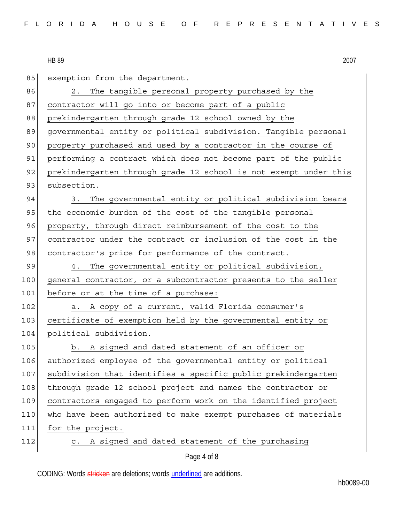| 85  | exemption from the department.                                   |
|-----|------------------------------------------------------------------|
| 86  | The tangible personal property purchased by the<br>2.            |
| 87  | contractor will go into or become part of a public               |
| 88  | prekindergarten through grade 12 school owned by the             |
| 89  | governmental entity or political subdivision. Tangible personal  |
| 90  | property purchased and used by a contractor in the course of     |
| 91  | performing a contract which does not become part of the public   |
| 92  | prekindergarten through grade 12 school is not exempt under this |
| 93  | subsection.                                                      |
| 94  | The governmental entity or political subdivision bears<br>3.     |
| 95  | the economic burden of the cost of the tangible personal         |
| 96  | property, through direct reimbursement of the cost to the        |
| 97  | contractor under the contract or inclusion of the cost in the    |
| 98  | contractor's price for performance of the contract.              |
| 99  | The governmental entity or political subdivision,<br>4.          |
| 100 | general contractor, or a subcontractor presents to the seller    |
| 101 | before or at the time of a purchase:                             |
| 102 | A copy of a current, valid Florida consumer's<br>а.              |
| 103 | certificate of exemption held by the governmental entity or      |
| 104 | political subdivision.                                           |
| 105 | b. A signed and dated statement of an officer or                 |
| 106 | authorized employee of the governmental entity or political      |
| 107 | subdivision that identifies a specific public prekindergarten    |
| 108 | through grade 12 school project and names the contractor or      |
| 109 | contractors engaged to perform work on the identified project    |
| 110 | who have been authorized to make exempt purchases of materials   |
| 111 | for the project.                                                 |
|     |                                                                  |
| 112 | A signed and dated statement of the purchasing<br>$\mathsf{C}$ . |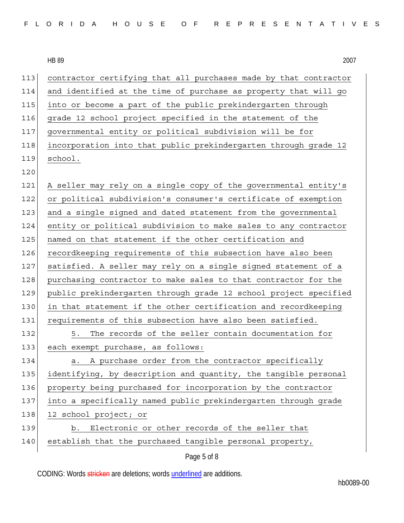| FLORIDA HOUSE OF REPRESENTATIVES |  |  |  |  |  |  |  |  |  |  |  |  |  |  |  |  |  |  |  |  |  |  |  |  |  |  |
|----------------------------------|--|--|--|--|--|--|--|--|--|--|--|--|--|--|--|--|--|--|--|--|--|--|--|--|--|--|
|----------------------------------|--|--|--|--|--|--|--|--|--|--|--|--|--|--|--|--|--|--|--|--|--|--|--|--|--|--|

| 113 | contractor certifying that all purchases made by that contractor |
|-----|------------------------------------------------------------------|
| 114 | and identified at the time of purchase as property that will go  |
| 115 | into or become a part of the public prekindergarten through      |
| 116 | grade 12 school project specified in the statement of the        |
| 117 | governmental entity or political subdivision will be for         |
| 118 | incorporation into that public prekindergarten through grade 12  |
| 119 | school.                                                          |
| 120 |                                                                  |
| 121 | A seller may rely on a single copy of the governmental entity's  |
| 122 | or political subdivision's consumer's certificate of exemption   |
| 123 | and a single signed and dated statement from the governmental    |
| 124 | entity or political subdivision to make sales to any contractor  |
| 125 | named on that statement if the other certification and           |
| 126 | recordkeeping requirements of this subsection have also been     |
| 127 | satisfied. A seller may rely on a single signed statement of a   |
| 128 | purchasing contractor to make sales to that contractor for the   |
| 129 | public prekindergarten through grade 12 school project specified |
| 130 | in that statement if the other certification and recordkeeping   |
| 131 | requirements of this subsection have also been satisfied.        |
| 132 | The records of the seller contain documentation for<br>5.        |
| 133 | each exempt purchase, as follows:                                |
| 134 | a. A purchase order from the contractor specifically             |
| 135 | identifying, by description and quantity, the tangible personal  |
| 136 | property being purchased for incorporation by the contractor     |
| 137 | into a specifically named public prekindergarten through grade   |
| 138 | 12 school project; or                                            |
| 139 | Electronic or other records of the seller that<br>b.             |
| 140 | establish that the purchased tangible personal property,         |
|     | Page 5 of 8                                                      |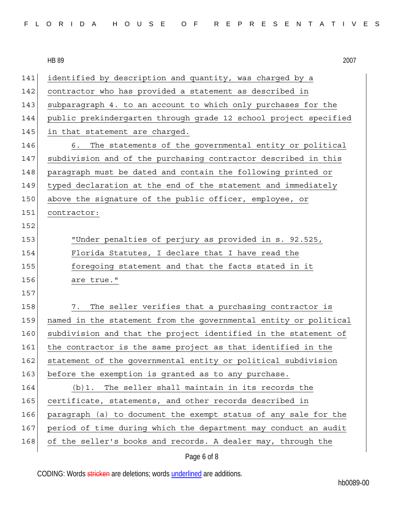| FLORIDA HOUSE OF REPRESENTATIVES |  |  |  |  |  |  |  |  |  |  |  |  |  |  |  |  |  |  |  |  |  |  |  |  |  |  |
|----------------------------------|--|--|--|--|--|--|--|--|--|--|--|--|--|--|--|--|--|--|--|--|--|--|--|--|--|--|
|----------------------------------|--|--|--|--|--|--|--|--|--|--|--|--|--|--|--|--|--|--|--|--|--|--|--|--|--|--|

| 2007 |
|------|
|      |

| 141 | identified by description and quantity, was charged by a         |
|-----|------------------------------------------------------------------|
| 142 | contractor who has provided a statement as described in          |
| 143 | subparagraph 4. to an account to which only purchases for the    |
| 144 | public prekindergarten through grade 12 school project specified |
| 145 | in that statement are charged.                                   |
| 146 | The statements of the governmental entity or political<br>6.     |
| 147 | subdivision and of the purchasing contractor described in this   |
| 148 | paragraph must be dated and contain the following printed or     |
| 149 | typed declaration at the end of the statement and immediately    |
| 150 | above the signature of the public officer, employee, or          |
| 151 | contractor:                                                      |
| 152 |                                                                  |
| 153 | "Under penalties of perjury as provided in s. 92.525,            |
| 154 | Florida Statutes, I declare that I have read the                 |
| 155 | foregoing statement and that the facts stated in it              |
| 156 | are true."                                                       |
| 157 |                                                                  |
| 158 | The seller verifies that a purchasing contractor is<br>7.        |
| 159 | named in the statement from the governmental entity or political |
| 160 | subdivision and that the project identified in the statement of  |
| 161 | the contractor is the same project as that identified in the     |
| 162 | statement of the governmental entity or political subdivision    |
| 163 | before the exemption is granted as to any purchase.              |
| 164 | The seller shall maintain in its records the<br>(b)1.            |
| 165 | certificate, statements, and other records described in          |
| 166 | paragraph (a) to document the exempt status of any sale for the  |
| 167 | period of time during which the department may conduct an audit  |
| 168 | of the seller's books and records. A dealer may, through the     |
|     |                                                                  |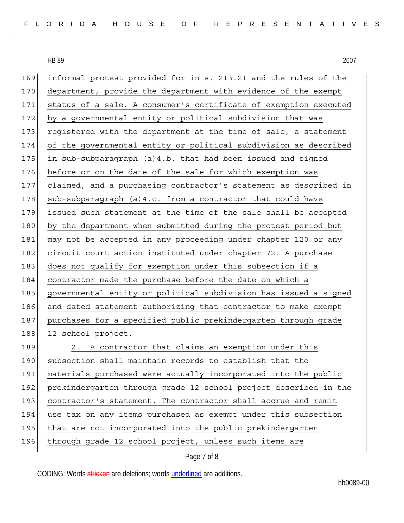| 169 | informal protest provided for in s. 213.21 and the rules of the  |
|-----|------------------------------------------------------------------|
| 170 | department, provide the department with evidence of the exempt   |
| 171 | status of a sale. A consumer's certificate of exemption executed |
| 172 | by a governmental entity or political subdivision that was       |
| 173 | registered with the department at the time of sale, a statement  |
| 174 | of the governmental entity or political subdivision as described |
| 175 | in sub-subparagraph (a)4.b. that had been issued and signed      |
| 176 | before or on the date of the sale for which exemption was        |
| 177 | claimed, and a purchasing contractor's statement as described in |
| 178 | sub-subparagraph (a)4.c. from a contractor that could have       |
| 179 | issued such statement at the time of the sale shall be accepted  |
| 180 | by the department when submitted during the protest period but   |
| 181 | may not be accepted in any proceeding under chapter 120 or any   |
| 182 | circuit court action instituted under chapter 72. A purchase     |
| 183 | does not qualify for exemption under this subsection if a        |
| 184 | contractor made the purchase before the date on which a          |
| 185 | governmental entity or political subdivision has issued a signed |
| 186 | and dated statement authorizing that contractor to make exempt   |
| 187 | purchases for a specified public prekindergarten through grade   |
| 188 | 12 school project.                                               |
| 189 | A contractor that claims an exemption under this<br>2.           |
| 190 | subsection shall maintain records to establish that the          |
| 191 | materials purchased were actually incorporated into the public   |
| 192 | prekindergarten through grade 12 school project described in the |
| 193 | contractor's statement. The contractor shall accrue and remit    |
| 194 | use tax on any items purchased as exempt under this subsection   |
| 195 | that are not incorporated into the public prekindergarten        |
| 196 | through grade 12 school project, unless such items are           |
|     |                                                                  |

Page 7 of 8